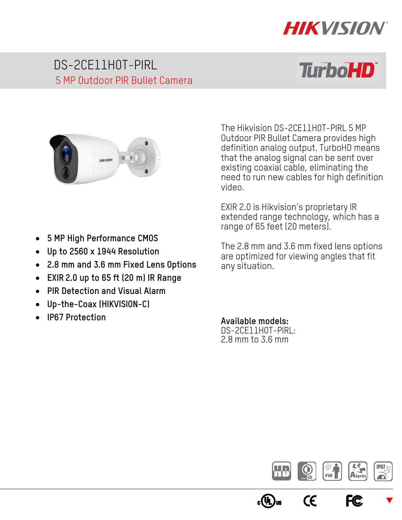

# DS-2CE11H0T-PIRL 5 MP Outdoor PIR Bullet Camera

# **TurboHD**



- **5 MP High Performance CMOS**
- **Up to 2560 x 1944 Resolution**
- **2.8 mm and 3.6 mm Fixed Lens Options**
- **EXIR 2.0 up to 65 ft (20 m) IR Range**
- **PIR Detection and Visual Alarm**
- **Up-the-Coax (HIKVISION-C)**
- **IP67 Protection**

The Hikvision DS-2CE11H0T-PIRL 5 MP Outdoor PIR Bullet Camera provides high definition analog output. TurboHD means that the analog signal can be sent over existing coaxial cable, eliminating the need to run new cables for high definition video.

EXIR 2.0 is Hikvision's proprietary IR extended range technology, which has a range of 65 feet (20 meters).

The 2.8 mm and 3.6 mm fixed lens options are optimized for viewing angles that fit any situation.

#### **Available models:**

DS-2CE11H0T-PIRL: 2.8 mm to 3.6 mm

c(ŲL



CE

 $\blacktriangledown$